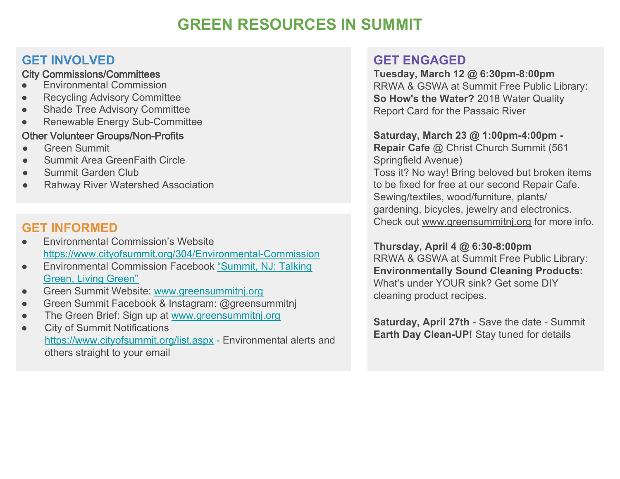# **GREEN RESOURCES IN SUMMIT**

## **GET INVOLVED**

#### City Commissions/Committees

- **Environmental Commission**
- **Recycling Advisory Committee**
- **Shade Tree Advisory Committee**
- Renewable Energy Sub-Committee

#### Other Volunteer Groups/Non-Profit**s**

- Green Summit
- Summit Area GreenFaith Circle
- Summit Garden Club
- **Rahway River Watershed Association**

## **GET INFORMED**

- **Environmental Commission's Website** <https://www.cityofsummit.org/304/Environmental-Commission>
- Environmental Commission Facebook "[Summit, NJ: Talking](https://www.facebook.com/groups/184758811555182/) G[reen, Living Green"](https://www.facebook.com/groups/184758811555182/)
- Green Summit Website: [www.greensummitnj.org](http://www.greensummitnj.org)
- Green Summit Facebook & Instagram: @greensummitnj
- The Green Brief: Sign up at [www.greensummitnj.org](http://www.greensummitnj.org)
- **City of Summit Notifications** <https://www.cityofsummit.org/list.aspx>- Environmental alerts and others straight to your email

## **GET ENGAGED**

**Tuesday, March 12 @ 6:30pm-8:00pm**  RRWA & GSWA at Summit Free Public Library: **So How's the Water?** 2018 Water Quality Report Card for the Passaic River

#### **Saturday, March 23 @ 1:00pm-4:00pm - Repair Cafe** @ Christ Church Summit (561

Springfield Avenue) Toss it? No way! Bring beloved but broken items to be fixed for free at our second Repair Cafe. Sewing/textiles, wood/furniture, plants/ gardening, bicycles, jewelry and electronics. Check out [www.greensummitnj.org](http://www.greensummitnj.org) for more info.

#### **Thursday, April 4 @ 6:30-8:00pm**

RRWA & GSWA at Summit Free Public Library: **Environmentally Sound Cleaning Products:** What's under YOUR sink? Get some DIY cleaning product recipes.

**Saturday, April 27th** - Save the date - Summit **Earth Day Clean-UP!** Stay tuned for details